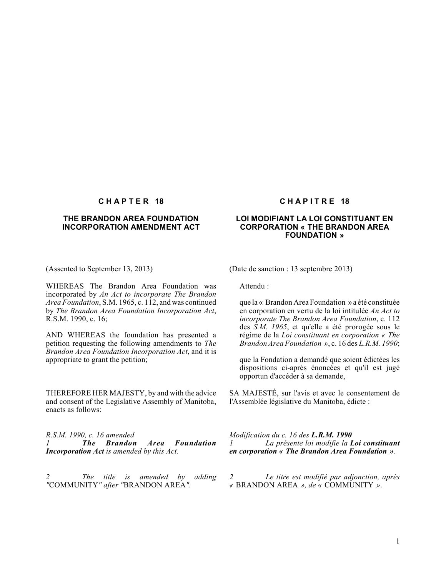# **THE BRANDON AREA FOUNDATION INCORPORATION AMENDMENT ACT**

WHEREAS The Brandon Area Foundation was incorporated by *An Act to incorporate The Brandon Area Foundation*, S.M. 1965, c. 112, and was continued by *The Brandon Area Foundation Incorporation Act*, R.S.M. 1990, c. 16;

AND WHEREAS the foundation has presented a petition requesting the following amendments to *The Brandon Area Foundation Incorporation Act*, and it is appropriate to grant the petition;

THEREFORE HER MAJESTY, by and with the advice and consent of the Legislative Assembly of Manitoba, enacts as follows:

*R.S.M. 1990, c. 16 amended 1 The Brandon Area Foundation Incorporation Act is amended by this Act.*

*2 The title is amended by adding "*COMMUNITY*" after "*BRANDON AREA*".*

### **C H A P T E R 18 C H A P I T R E 18**

# **LOI MODIFIANT LA LOI CONSTITUANT EN CORPORATION « THE BRANDON AREA FOUNDATION »**

(Assented to September 13, 2013) (Date de sanction : 13 septembre 2013)

Attendu :

que la « Brandon Area Foundation » a été constituée en corporation en vertu de la loi intitulée *An Act to incorporate The Brandon Area Foundation*, c. 112 des *S.M. 1965*, et qu'elle a été prorogée sous le régime de la *Loi constituant en corporation « The Brandon Area Foundation »*, c. 16 des *L.R.M. 1990*;

que la Fondation a demandé que soient édictées les dispositions ci-après énoncées et qu'il est jugé opportun d'accéder à sa demande,

SA MAJESTÉ, sur l'avis et avec le consentement de l'Assemblée législative du Manitoba, édicte :

*Modification du c. 16 des L.R.M. 1990 1 La présente loi modifie la Loi constituant en corporation « The Brandon Area Foundation ».*

*2 Le titre est modifié par adjonction, après «* BRANDON AREA *», de «* COMMUNITY *»*.